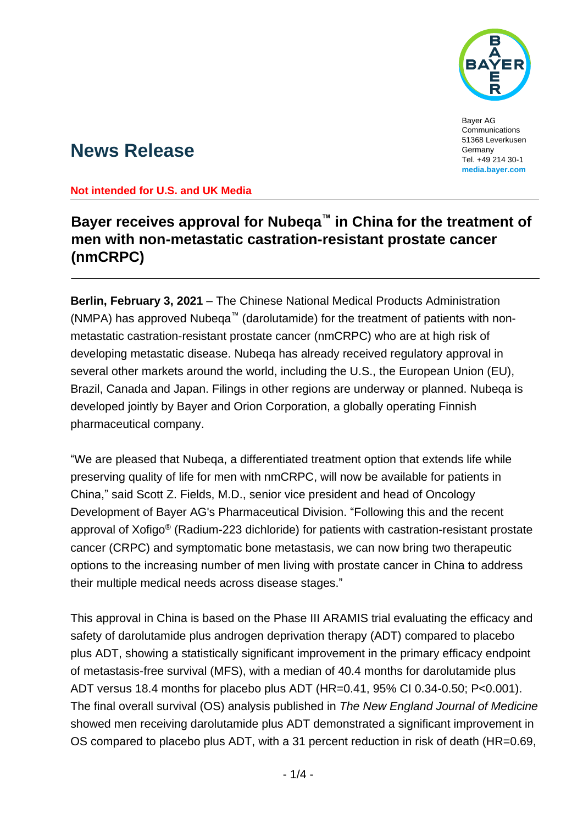

Bayer AG **Communications** 51368 Leverkusen Germany Tel. +49 214 30-1 **media.bayer.com**

# **News Release**

### **Not intended for U.S. and UK Media**

## **Bayer receives approval for Nubeqa™ in China for the treatment of men with non-metastatic castration-resistant prostate cancer (nmCRPC)**

**Berlin, February 3, 2021** – The Chinese National Medical Products Administration (NMPA) has approved Nubeqa™ (darolutamide) for the treatment of patients with nonmetastatic castration-resistant prostate cancer (nmCRPC) who are at high risk of developing metastatic disease. Nubeqa has already received regulatory approval in several other markets around the world, including the U.S., the European Union (EU), Brazil, Canada and Japan. Filings in other regions are underway or planned. Nubeqa is developed jointly by Bayer and Orion Corporation, a globally operating Finnish pharmaceutical company.

"We are pleased that Nubeqa, a differentiated treatment option that extends life while preserving quality of life for men with nmCRPC, will now be available for patients in China," said Scott Z. Fields, M.D., senior vice president and head of Oncology Development of Bayer AG's Pharmaceutical Division. "Following this and the recent approval of Xofigo® (Radium-223 dichloride) for patients with castration-resistant prostate cancer (CRPC) and symptomatic bone metastasis, we can now bring two therapeutic options to the increasing number of men living with prostate cancer in China to address their multiple medical needs across disease stages."

This approval in China is based on the Phase III ARAMIS trial evaluating the efficacy and safety of darolutamide plus androgen deprivation therapy (ADT) compared to placebo plus ADT, showing a statistically significant improvement in the primary efficacy endpoint of metastasis-free survival (MFS), with a median of 40.4 months for darolutamide plus ADT versus 18.4 months for placebo plus ADT (HR=0.41, 95% CI 0.34-0.50; P<0.001). The final overall survival (OS) analysis published in *The New England Journal of Medicine* showed men receiving darolutamide plus ADT demonstrated a significant improvement in OS compared to placebo plus ADT, with a 31 percent reduction in risk of death (HR=0.69,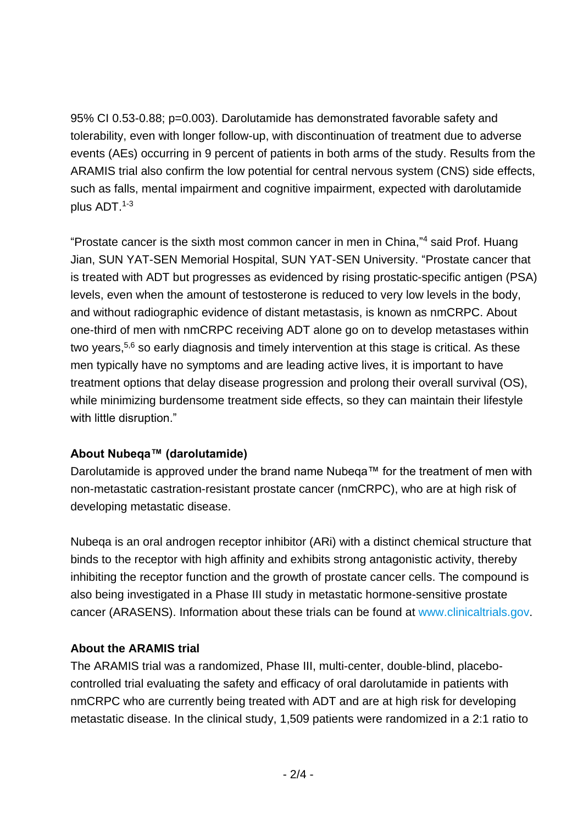95% CI 0.53-0.88; p=0.003). Darolutamide has demonstrated favorable safety and tolerability, even with longer follow-up, with discontinuation of treatment due to adverse events (AEs) occurring in 9 percent of patients in both arms of the study. Results from the ARAMIS trial also confirm the low potential for central nervous system (CNS) side effects, such as falls, mental impairment and cognitive impairment, expected with darolutamide plus ADT.1-3

"Prostate cancer is the sixth most common cancer in men in China," <sup>4</sup> said Prof. Huang Jian, SUN YAT-SEN Memorial Hospital, SUN YAT-SEN University. "Prostate cancer that is treated with ADT but progresses as evidenced by rising prostatic-specific antigen (PSA) levels, even when the amount of testosterone is reduced to very low levels in the body, and without radiographic evidence of distant metastasis, is known as nmCRPC. About one-third of men with nmCRPC receiving ADT alone go on to develop metastases within two years,<sup>5,6</sup> so early diagnosis and timely intervention at this stage is critical. As these men typically have no symptoms and are leading active lives, it is important to have treatment options that delay disease progression and prolong their overall survival (OS), while minimizing burdensome treatment side effects, so they can maintain their lifestyle with little disruption."

## **About Nubeqa™ (darolutamide)**

Darolutamide is approved under the brand name Nubeqa™ for the treatment of men with non-metastatic castration-resistant prostate cancer (nmCRPC), who are at high risk of developing metastatic disease.

Nubeqa is an oral androgen receptor inhibitor (ARi) with a distinct chemical structure that binds to the receptor with high affinity and exhibits strong antagonistic activity, thereby inhibiting the receptor function and the growth of prostate cancer cells. The compound is also being investigated in a Phase III study in metastatic hormone-sensitive prostate cancer (ARASENS). Information about these trials can be found at [www.clinicaltrials.gov.](http://www.clinicaltrials.gov/)

## **About the ARAMIS trial**

The ARAMIS trial was a randomized, Phase III, multi-center, double-blind, placebocontrolled trial evaluating the safety and efficacy of oral darolutamide in patients with nmCRPC who are currently being treated with ADT and are at high risk for developing metastatic disease. In the clinical study, 1,509 patients were randomized in a 2:1 ratio to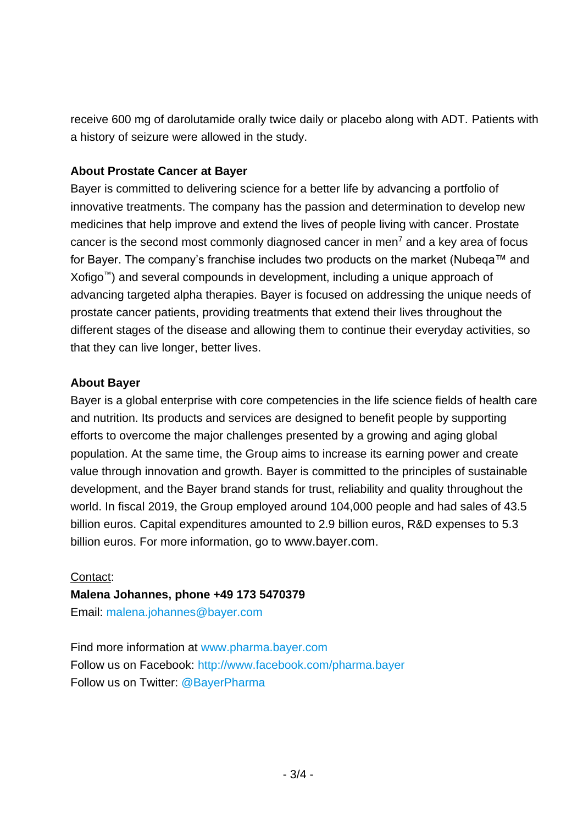receive 600 mg of darolutamide orally twice daily or placebo along with ADT. Patients with a history of seizure were allowed in the study.

## **About Prostate Cancer at Bayer**

Bayer is committed to delivering science for a better life by advancing a portfolio of innovative treatments. The company has the passion and determination to develop new medicines that help improve and extend the lives of people living with cancer. Prostate cancer is the second most commonly diagnosed cancer in men<sup>7</sup> and a key area of focus for Bayer. The company's franchise includes two products on the market (Nubeqa™ and Xofigo™) and several compounds in development, including a unique approach of advancing targeted alpha therapies. Bayer is focused on addressing the unique needs of prostate cancer patients, providing treatments that extend their lives throughout the different stages of the disease and allowing them to continue their everyday activities, so that they can live longer, better lives.

### **About Bayer**

Bayer is a global enterprise with core competencies in the life science fields of health care and nutrition. Its products and services are designed to benefit people by supporting efforts to overcome the major challenges presented by a growing and aging global population. At the same time, the Group aims to increase its earning power and create value through innovation and growth. Bayer is committed to the principles of sustainable development, and the Bayer brand stands for trust, reliability and quality throughout the world. In fiscal 2019, the Group employed around 104,000 people and had sales of 43.5 billion euros. Capital expenditures amounted to 2.9 billion euros, R&D expenses to 5.3 billion euros. For more information, go to [www.bayer.com](http://www.bayer.com/).

#### Contact:

#### **Malena Johannes, phone +49 173 5470379**

Email: [malena.johannes@bayer.com](mailto:malena.johannes@bayer.com)

Find more information at [www.pharma.bayer.com](http://www.pharma.bayer.com/) Follow us on Facebook:<http://www.facebook.com/pharma.bayer> Follow us on Twitter: [@BayerPharma](https://twitter.com/bayerpharma)